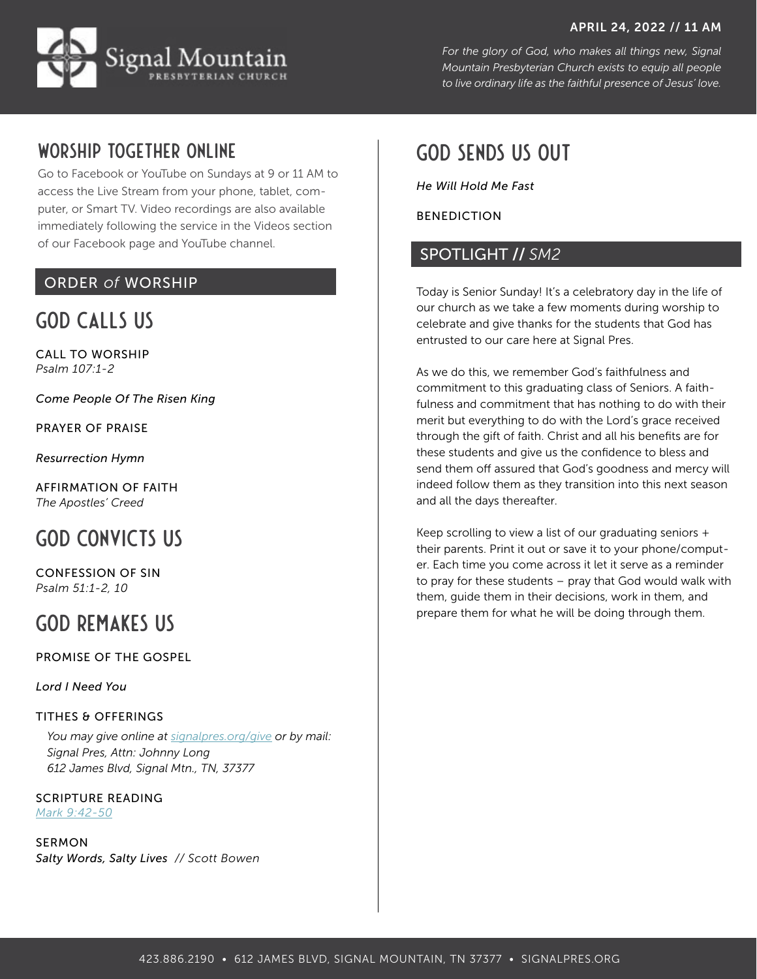#### APRIL 24, 2022 // 11 AM



*For the glory of God, who makes all things new, Signal Mountain Presbyterian Church exists to equip all people to live ordinary life as the faithful presence of Jesus' love.*

### Worship together online

Go to [Facebook](http://facebook.com/signalpres) or [YouTube](https://www.youtube.com/channel/UCN6k6m813mW78zi-dpPVQpQ?view_as=subscriber) on Sundays at 9 or 11 AM to access the Live Stream from your phone, tablet, computer, or Smart TV. Video recordings are also available immediately following the service in the Videos section of our Facebook page and YouTube channel.

### ORDER *of* WORSHIP

## GOD CALLS US

CALL TO WORSHIP *Psalm 107:1-2*

*Come People Of The Risen King*

PRAYER OF PRAISE

*Resurrection Hymn*

AFFIRMATION OF FAITH *The Apostles' Creed*

# GOD CONVICTS US

CONFESSION OF SIN *Psalm 51:1-2, 10*

## GOD REMAKES US

PROMISE OF THE GOSPEL

*Lord I Need You* 

#### TITHES & OFFERINGS

*You may give online at signalpres.org/give or by mail: Signal Pres, Attn: Johnny Long 612 James Blvd, Signal Mtn., TN, 37377*

SCRIPTURE READING *[Mark 9:42-50](https://www.bible.com/bible/59/MRK.9.ESV)*

SERMON *Salty Words, Salty Lives // Scott Bowen*

## GOD SENDS US OUT

*He Will Hold Me Fast*

BENEDICTION

#### SPOTLIGHT // *SM2*

Today is Senior Sunday! It's a celebratory day in the life of our church as we take a few moments during worship to celebrate and give thanks for the students that God has entrusted to our care here at Signal Pres.

As we do this, we remember God's faithfulness and commitment to this graduating class of Seniors. A faithfulness and commitment that has nothing to do with their merit but everything to do with the Lord's grace received through the gift of faith. Christ and all his benefits are for these students and give us the confidence to bless and send them off assured that God's goodness and mercy will indeed follow them as they transition into this next season and all the days thereafter.

Keep scrolling to view a list of our graduating seniors + their parents. Print it out or save it to your phone/computer. Each time you come across it let it serve as a reminder to pray for these students – pray that God would walk with them, guide them in their decisions, work in them, and prepare them for what he will be doing through them.